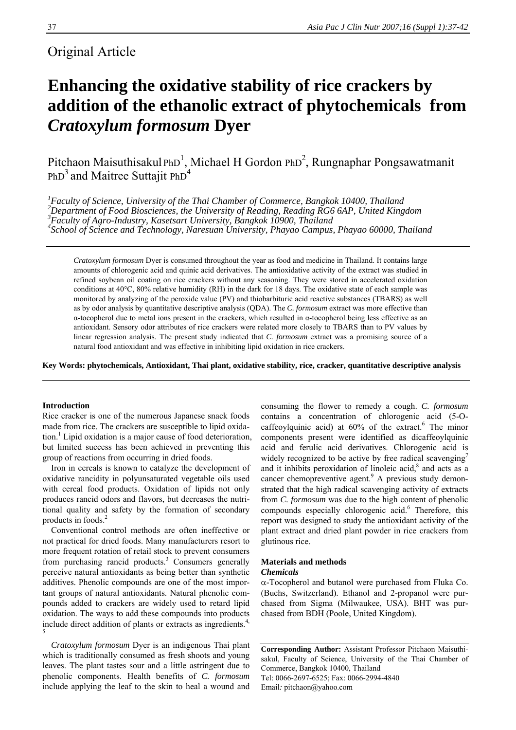# Original Article

# **Enhancing the oxidative stability of rice crackers by addition of the ethanolic extract of phytochemicals from**  *Cratoxylum formosum* **Dyer**

Pitchaon Maisuthisakul PhD<sup>1</sup>, Michael H Gordon PhD<sup>2</sup>, Rungnaphar Pongsawatmanit PhD<sup>3</sup> and Maitree Suttajit PhD<sup>4</sup>

<sup>1</sup> Faculty of Science, University of the Thai Chamber of Commerce, Bangkok 10400, Thailand <sup>2</sup><br><sup>2</sup> Department of Eagel Biosciances, the University of Beading, Beading PC6,6AB, United King *Department of Food Biosciences, the University of Reading, Reading RG6 6AP, United Kingdom 3* <sup>3</sup> Faculty of Agro-Industry, Kasetsart University, Bangkok 10900, Thailand *School of Science and Technology, Naresuan University, Phayao Campus, Phayao 60000, Thailand*

*Cratoxylum formosum* Dyer is consumed throughout the year as food and medicine in Thailand. It contains large amounts of chlorogenic acid and quinic acid derivatives. The antioxidative activity of the extract was studied in refined soybean oil coating on rice crackers without any seasoning. They were stored in accelerated oxidation conditions at 40°C, 80% relative humidity (RH) in the dark for 18 days. The oxidative state of each sample was monitored by analyzing of the peroxide value (PV) and thiobarbituric acid reactive substances (TBARS) as well as by odor analysis by quantitative descriptive analysis (QDA). The *C. formosum* extract was more effective than α-tocopherol due to metal ions present in the crackers, which resulted in α-tocopherol being less effective as an antioxidant. Sensory odor attributes of rice crackers were related more closely to TBARS than to PV values by linear regression analysis. The present study indicated that *C. formosum* extract was a promising source of a natural food antioxidant and was effective in inhibiting lipid oxidation in rice crackers.

**Key Words: phytochemicals, Antioxidant, Thai plant, oxidative stability, rice, cracker, quantitative descriptive analysis** 

# **Introduction**

Rice cracker is one of the numerous Japanese snack foods made from rice. The crackers are susceptible to lipid oxidation.<sup>1</sup> Lipid oxidation is a major cause of food deterioration, but limited success has been achieved in preventing this group of reactions from occurring in dried foods.

Iron in cereals is known to catalyze the development of oxidative rancidity in polyunsaturated vegetable oils used with cereal food products. Oxidation of lipids not only produces rancid odors and flavors, but decreases the nutritional quality and safety by the formation of secondary products in foods.<sup>2</sup>

Conventional control methods are often ineffective or not practical for dried foods. Many manufacturers resort to more frequent rotation of retail stock to prevent consumers from purchasing rancid products.<sup>3</sup> Consumers generally perceive natural antioxidants as being better than synthetic additives. Phenolic compounds are one of the most important groups of natural antioxidants. Natural phenolic compounds added to crackers are widely used to retard lipid oxidation. The ways to add these compounds into products include direct addition of plants or extracts as ingredients.<sup>4,</sup> 5

*Cratoxylum formosum* Dyer is an indigenous Thai plant which is traditionally consumed as fresh shoots and young leaves. The plant tastes sour and a little astringent due to phenolic components. Health benefits of *C. formosum* include applying the leaf to the skin to heal a wound and consuming the flower to remedy a cough. *C. formosum* contains a concentration of chlorogenic acid (5-Ocaffeoylquinic acid) at  $60\%$  of the extract.<sup>6</sup> The minor components present were identified as dicaffeoylquinic acid and ferulic acid derivatives. Chlorogenic acid is widely recognized to be active by free radical scavenging<sup>7</sup> and it inhibits peroxidation of linoleic  $acid$ , and  $acts$  as a cancer chemopreventive agent.<sup>9</sup> A previous study demonstrated that the high radical scavenging activity of extracts from *C. formosum* was due to the high content of phenolic compounds especially chlorogenic acid.<sup>6</sup> Therefore, this report was designed to study the antioxidant activity of the plant extract and dried plant powder in rice crackers from glutinous rice.

# **Materials and methods**  *Chemicals*

α-Tocopherol and butanol were purchased from Fluka Co. (Buchs, Switzerland). Ethanol and 2-propanol were purchased from Sigma (Milwaukee, USA). BHT was purchased from BDH (Poole, United Kingdom).

**Corresponding Author:** Assistant Professor Pitchaon Maisuthisakul, Faculty of Science, University of the Thai Chamber of Commerce, Bangkok 10400, Thailand Tel: 0066-2697-6525; Fax: 0066-2994-4840 Email*:* pitchaon@yahoo.com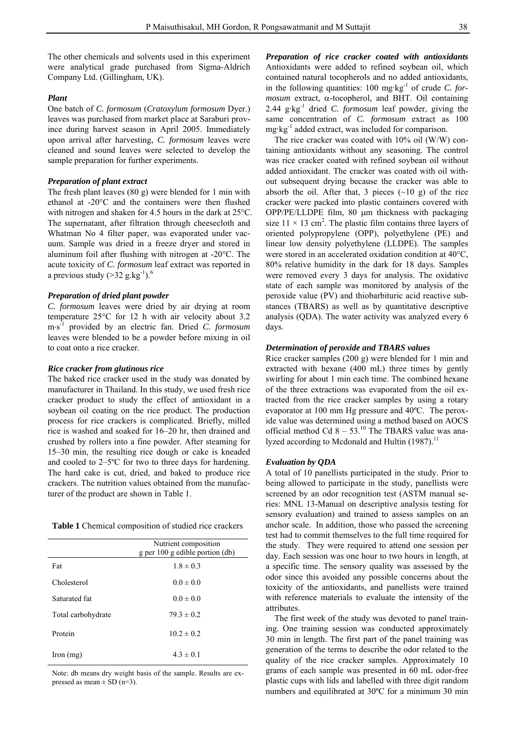The other chemicals and solvents used in this experiment were analytical grade purchased from Sigma-Aldrich Company Ltd. (Gillingham, UK).

# *Plant*

One batch of *C. formosum* (*Cratoxylum formosum* Dyer.) leaves was purchased from market place at Saraburi province during harvest season in April 2005. Immediately upon arrival after harvesting, *C. formosum* leaves were cleaned and sound leaves were selected to develop the sample preparation for further experiments.

### *Preparation of plant extract*

The fresh plant leaves (80 g) were blended for 1 min with ethanol at -20°C and the containers were then flushed with nitrogen and shaken for 4.5 hours in the dark at 25°C. The supernatant, after filtration through cheesecloth and Whatman No 4 filter paper, was evaporated under vacuum. Sample was dried in a freeze dryer and stored in aluminum foil after flushing with nitrogen at -20°C. The acute toxicity of *C. formosum* leaf extract was reported in a previous study  $(>32 \text{ g}.\text{kg}^{-1})$ .<sup>6</sup>

# *Preparation of dried plant powder*

*C. formosum* leaves were dried by air drying at room temperature 25°C for 12 h with air velocity about 3.2 m⋅s -1 provided by an electric fan. Dried *C. formosum* leaves were blended to be a powder before mixing in oil to coat onto a rice cracker.

### *Rice cracker from glutinous rice*

The baked rice cracker used in the study was donated by manufacturer in Thailand. In this study, we used fresh rice cracker product to study the effect of antioxidant in a soybean oil coating on the rice product. The production process for rice crackers is complicated. Briefly, milled rice is washed and soaked for 16–20 hr, then drained and crushed by rollers into a fine powder. After steaming for 15–30 min, the resulting rice dough or cake is kneaded and cooled to 2–5ºC for two to three days for hardening. The hard cake is cut, dried, and baked to produce rice crackers. The nutrition values obtained from the manufacturer of the product are shown in Table 1.

| Table 1 Chemical composition of studied rice crackers |  |  |
|-------------------------------------------------------|--|--|
|-------------------------------------------------------|--|--|

|                      | Nutrient composition<br>g per $100$ g edible portion (db) |
|----------------------|-----------------------------------------------------------|
| Fat                  | $1.8 \pm 0.3$                                             |
| Cholesterol          | $0.0 \pm 0.0$                                             |
| Saturated fat        | $0.0 \pm 0.0$                                             |
| Total carbohydrate   | $793 \pm 0.2$                                             |
| Protein              | $10.2 \pm 0.2$                                            |
| $\Gamma$ Iron $(mg)$ | $4.3 \pm 0.1$                                             |

Note: db means dry weight basis of the sample. Results are expressed as mean  $\pm$  SD (n=3).

*Preparation of rice cracker coated with antioxidants* Antioxidants were added to refined soybean oil, which contained natural tocopherols and no added antioxidants, in the following quantities: 100 mg·kg-1 of crude *C. formosum* extract, α-tocopherol, and BHT. Oil containing 2.44 g·kg-1 dried *C. formosum* leaf powder, giving the same concentration of *C. formosum* extract as 100 mg·kg-1 added extract, was included for comparison.

The rice cracker was coated with 10% oil (W/W) containing antioxidants without any seasoning. The control was rice cracker coated with refined soybean oil without added antioxidant. The cracker was coated with oil without subsequent drying because the cracker was able to absorb the oil. After that, 3 pieces  $(\sim 10 \text{ g})$  of the rice cracker were packed into plastic containers covered with OPP/PE/LLDPE film, 80 μm thickness with packaging size  $11 \times 13$  cm<sup>2</sup>. The plastic film contains three layers of oriented polypropylene (OPP), polyethylene (PE) and linear low density polyethylene (LLDPE). The samples were stored in an accelerated oxidation condition at 40°C, 80% relative humidity in the dark for 18 days. Samples were removed every 3 days for analysis. The oxidative state of each sample was monitored by analysis of the peroxide value (PV) and thiobarbituric acid reactive substances (TBARS) as well as by quantitative descriptive analysis (QDA). The water activity was analyzed every 6 days.

# *Determination of peroxide and TBARS values*

Rice cracker samples (200 g) were blended for 1 min and extracted with hexane (400 mL) three times by gently swirling for about 1 min each time. The combined hexane of the three extractions was evaporated from the oil extracted from the rice cracker samples by using a rotary evaporator at 100 mm Hg pressure and 40ºC. The peroxide value was determined using a method based on AOCS official method Cd  $8 - 53$ .<sup>10</sup> The TBARS value was analyzed according to Mcdonald and Hultin  $(1987)$ .<sup>11</sup>

# *Evaluation by QDA*

A total of 10 panellists participated in the study. Prior to being allowed to participate in the study, panellists were screened by an odor recognition test (ASTM manual series: MNL 13-Manual on descriptive analysis testing for sensory evaluation) and trained to assess samples on an anchor scale. In addition, those who passed the screening test had to commit themselves to the full time required for the study. They were required to attend one session per day. Each session was one hour to two hours in length, at a specific time. The sensory quality was assessed by the odor since this avoided any possible concerns about the toxicity of the antioxidants, and panellists were trained with reference materials to evaluate the intensity of the attributes.

The first week of the study was devoted to panel training. One training session was conducted approximately 30 min in length. The first part of the panel training was generation of the terms to describe the odor related to the quality of the rice cracker samples. Approximately 10 grams of each sample was presented in 60 mL odor-free plastic cups with lids and labelled with three digit random numbers and equilibrated at 30ºC for a minimum 30 min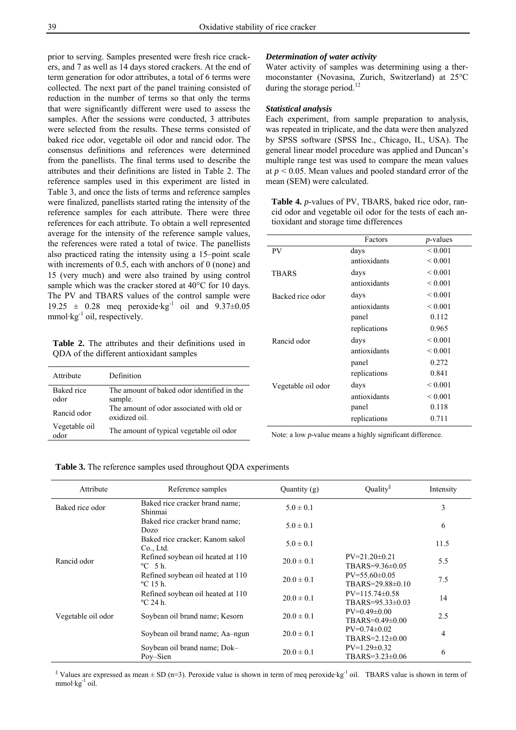prior to serving. Samples presented were fresh rice crackers, and 7 as well as 14 days stored crackers. At the end of term generation for odor attributes, a total of 6 terms were collected. The next part of the panel training consisted of reduction in the number of terms so that only the terms that were significantly different were used to assess the samples. After the sessions were conducted, 3 attributes were selected from the results. These terms consisted of baked rice odor, vegetable oil odor and rancid odor. The consensus definitions and references were determined from the panellists. The final terms used to describe the attributes and their definitions are listed in Table 2. The reference samples used in this experiment are listed in Table 3, and once the lists of terms and reference samples were finalized, panellists started rating the intensity of the reference samples for each attribute. There were three references for each attribute. To obtain a well represented average for the intensity of the reference sample values, the references were rated a total of twice. The panellists also practiced rating the intensity using a 15–point scale with increments of 0.5, each with anchors of 0 (none) and 15 (very much) and were also trained by using control sample which was the cracker stored at 40°C for 10 days. The PV and TBARS values of the control sample were 19.25  $\pm$  0.28 meq peroxide·kg<sup>-1</sup> oil and 9.37 $\pm$ 0.05 mmol·kg $^{-1}$  oil, respectively.

**Table 2.** The attributes and their definitions used in QDA of the different antioxidant samples

| Attribute          | Definition                                                |
|--------------------|-----------------------------------------------------------|
| Baked rice<br>odor | The amount of baked odor identified in the<br>sample.     |
| Rancid odor        | The amount of odor associated with old or<br>oxidized oil |
| Vegetable oil      | The amount of typical vegetable oil odor                  |

# *Determination of water activity*

Water activity of samples was determining using a thermoconstanter (Novasina, Zurich, Switzerland) at 25°C during the storage period.<sup>12</sup>

# *Statistical analysis*

Each experiment, from sample preparation to analysis, was repeated in triplicate, and the data were then analyzed by SPSS software (SPSS Inc., Chicago, IL, USA). The general linear model procedure was applied and Duncan's multiple range test was used to compare the mean values at *p* < 0.05. Mean values and pooled standard error of the mean (SEM) were calculated.

**Table 4.** *p*-values of PV, TBARS, baked rice odor, rancid odor and vegetable oil odor for the tests of each antioxidant and storage time differences

|                    | Factors      | $p$ -values       |
|--------------------|--------------|-------------------|
| PV                 | days         | ${}_{0.001}$      |
|                    | antioxidants | ${}_{0.001}$      |
| <b>TBARS</b>       | days         | ${}_{0.001}$      |
|                    | antioxidants | ${}_{\leq 0.001}$ |
| Backed rice odor   | days         | ${}_{0.001}$      |
|                    | antioxidants | ${}_{0.001}$      |
|                    | panel        | 0.112             |
|                    | replications | 0.965             |
| Rancid odor        | days         | ${}_{0.001}$      |
|                    | antioxidants | ${}_{0.001}$      |
|                    | panel        | 0.272             |
|                    | replications | 0.841             |
| Vegetable oil odor | days         | ${}_{0.001}$      |
|                    | antioxidants | ${}_{0.001}$      |
|                    | panel        | 0.118             |
|                    | replications | 0.711             |

Note: a low *p*-value means a highly significant difference.

**Table 3.** The reference samples used throughout QDA experiments

| Attribute          | Reference samples                                              | Quantity (g)   | Quality $\delta$                                   | Intensity |
|--------------------|----------------------------------------------------------------|----------------|----------------------------------------------------|-----------|
| Baked rice odor    | Baked rice cracker brand name;<br>Shinmai                      | $5.0 \pm 0.1$  |                                                    | 3         |
|                    | Baked rice cracker brand name;<br>Dozo                         | $5.0 \pm 0.1$  |                                                    | 6         |
|                    | Baked rice cracker; Kanom sakol<br>$Co.$ Ltd.                  | $5.0 \pm 0.1$  |                                                    | 11.5      |
| Rancid odor        | Refined soybean oil heated at 110<br>$\mathrm{^{\circ}C}$ 5 h. | $20.0 \pm 0.1$ | $PV = 21.20 \pm 0.21$<br>TBARS= $9.36\pm0.05$      | 5.5       |
|                    | Refined soybean oil heated at 110<br>$^{\circ}$ C 15 h.        | $20.0 \pm 0.1$ | $PV = 55.60 \pm 0.05$<br>TBARS=29.88±0.10          | 7.5       |
|                    | Refined soybean oil heated at 110<br>$^{\circ}$ C 24 h         | $20.0 \pm 0.1$ | $PV = 115.74 \pm 0.58$<br>$TRARS = 95.33 \pm 0.03$ | 14        |
| Vegetable oil odor | Soybean oil brand name; Kesorn                                 | $20.0 \pm 0.1$ | $PV=0.49\pm0.00$<br>$TBARS = 0.49 \pm 0.00$        | 2.5       |
|                    | Soybean oil brand name; Aa-ngun                                | $20.0 \pm 0.1$ | $PV=0.74\pm0.02$<br>$TBARS = 2.12 \pm 0.00$        | 4         |
|                    | Soybean oil brand name; Dok-<br>Pov-Sien                       | $20.0 \pm 0.1$ | $PV=1.29\pm0.32$<br>$TBARS = 3.23 \pm 0.06$        | 6         |

<sup>§</sup> Values are expressed as mean  $\pm$  SD (n=3). Peroxide value is shown in term of meq peroxide·kg<sup>-1</sup> oil. TBARS value is shown in term of  $mmol·kg<sup>-1</sup>$  oil.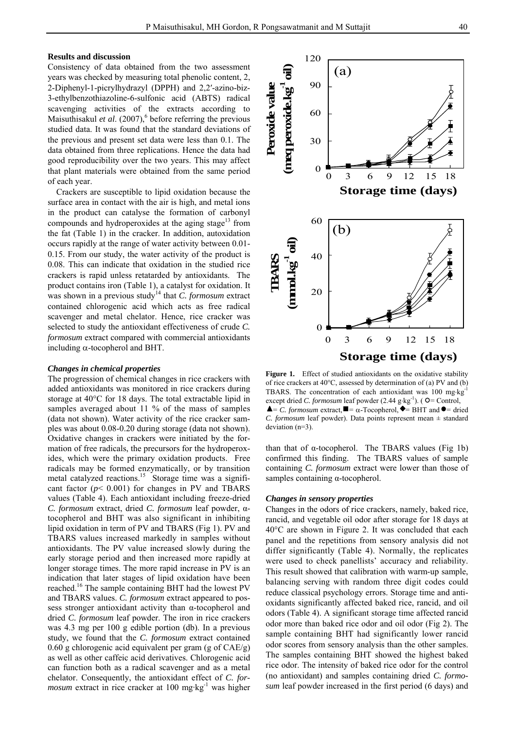# **Results and discussion**

Consistency of data obtained from the two assessment years was checked by measuring total phenolic content, 2, 2-Diphenyl-1-picrylhydrazyl (DPPH) and 2,2′-azino-biz-3-ethylbenzothiazoline-6-sulfonic acid (ABTS) radical scavenging activities of the extracts according to Maisuthisakul *et al.* (2007),<sup>6</sup> before referring the previous studied data. It was found that the standard deviations of the previous and present set data were less than 0.1. The data obtained from three replications. Hence the data had good reproducibility over the two years. This may affect that plant materials were obtained from the same period of each year.

Crackers are susceptible to lipid oxidation because the surface area in contact with the air is high, and metal ions in the product can catalyse the formation of carbonyl compounds and hydroperoxides at the aging stage<sup>13</sup> from the fat (Table 1) in the cracker. In addition, autoxidation occurs rapidly at the range of water activity between 0.01- 0.15. From our study, the water activity of the product is 0.08. This can indicate that oxidation in the studied rice crackers is rapid unless retatarded by antioxidants. The product contains iron (Table 1), a catalyst for oxidation. It was shown in a previous study<sup>14</sup> that *C. formosum* extract contained chlorogenic acid which acts as free radical scavenger and metal chelator. Hence, rice cracker was selected to study the antioxidant effectiveness of crude *C. formosum* extract compared with commercial antioxidants including α-tocopherol and BHT.

#### *Changes in chemical properties*

The progression of chemical changes in rice crackers with added antioxidants was monitored in rice crackers during storage at 40°C for 18 days. The total extractable lipid in samples averaged about 11 % of the mass of samples (data not shown). Water activity of the rice cracker samples was about 0.08-0.20 during storage (data not shown). Oxidative changes in crackers were initiated by the formation of free radicals, the precursors for the hydroperoxides, which were the primary oxidation products. Free radicals may be formed enzymatically, or by transition metal catalyzed reactions.<sup>15</sup> Storage time was a significant factor  $(p< 0.001)$  for changes in PV and TBARS values (Table 4). Each antioxidant including freeze-dried *C. formosum* extract, dried *C. formosum* leaf powder, αtocopherol and BHT was also significant in inhibiting lipid oxidation in term of PV and TBARS (Fig 1). PV and TBARS values increased markedly in samples without antioxidants. The PV value increased slowly during the early storage period and then increased more rapidly at longer storage times. The more rapid increase in PV is an indication that later stages of lipid oxidation have been reached.16 The sample containing BHT had the lowest PV and TBARS values. *C. formosum* extract appeared to possess stronger antioxidant activity than α-tocopherol and dried *C. formosum* leaf powder. The iron in rice crackers was 4.3 mg per 100 g edible portion (db). In a previous study, we found that the *C. formosum* extract contained 0.60 g chlorogenic acid equivalent per gram (g of CAE/g) as well as other caffeic acid derivatives. Chlorogenic acid can function both as a radical scavenger and as a metal chelator. Consequently, the antioxidant effect of *C. formosum* extract in rice cracker at 100 mg·kg<sup>-1</sup> was higher



Figure 1. Effect of studied antioxidants on the oxidative stability of rice crackers at 40°C, assessed by determination of (a) PV and (b) TBARS. The concentration of each antioxidant was 100 mg⋅kg-1 except dried *C. formosum* leaf powder  $(2.44 \text{ g} \cdot \text{kg}^{-1})$ . ( $O =$  Control,  $\triangle$  = *C. formosum* extract,  $\blacksquare$  =  $\alpha$ -Tocopherol,  $\blacklozenge$  = BHT and  $\blacklozenge$  = dried *C. formosum* leaf powder). Data points represent mean  $\pm$  standard deviation (n=3).

than that of α-tocopherol. The TBARS values (Fig 1b) confirmed this finding. The TBARS values of sample containing *C. formosum* extract were lower than those of samples containing α-tocopherol.

# *Changes in sensory properties*

Changes in the odors of rice crackers, namely, baked rice, rancid, and vegetable oil odor after storage for 18 days at 40°C are shown in Figure 2. It was concluded that each panel and the repetitions from sensory analysis did not differ significantly (Table 4). Normally, the replicates were used to check panellists' accuracy and reliability. This result showed that calibration with warm-up sample, balancing serving with random three digit codes could reduce classical psychology errors. Storage time and antioxidants significantly affected baked rice, rancid, and oil odors (Table 4). A significant storage time affected rancid odor more than baked rice odor and oil odor (Fig 2). The sample containing BHT had significantly lower rancid odor scores from sensory analysis than the other samples. The samples containing BHT showed the highest baked rice odor. The intensity of baked rice odor for the control (no antioxidant) and samples containing dried *C. formosum* leaf powder increased in the first period (6 days) and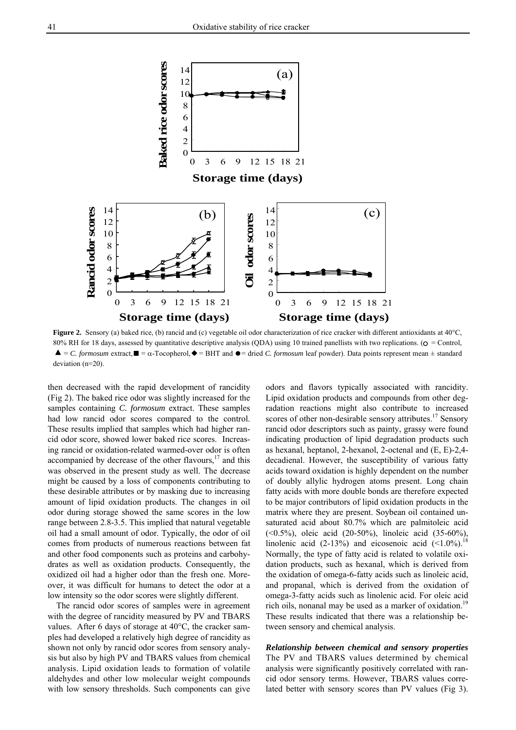

Figure 2. Sensory (a) baked rice, (b) rancid and (c) vegetable oil odor characterization of rice cracker with different antioxidants at 40°C, 80% RH for 18 days, assessed by quantitative descriptive analysis (QDA) using 10 trained panellists with two replications. ( $\sigma$  = Control,  $\blacktriangle$  = *C. formosum* extract,  $\blacktriangleright$  =  $\alpha$ -Tocopherol,  $\blacklozenge$  = BHT and  $\blacktriangleright$  = dried *C. formosum* leaf powder). Data points represent mean  $\pm$  standard deviation (n=20).

then decreased with the rapid development of rancidity (Fig 2). The baked rice odor was slightly increased for the samples containing *C. formosum* extract. These samples had low rancid odor scores compared to the control. These results implied that samples which had higher rancid odor score, showed lower baked rice scores. Increasing rancid or oxidation-related warmed-over odor is often accompanied by decrease of the other flavours, $17$  and this was observed in the present study as well. The decrease might be caused by a loss of components contributing to these desirable attributes or by masking due to increasing amount of lipid oxidation products. The changes in oil odor during storage showed the same scores in the low range between 2.8-3.5. This implied that natural vegetable oil had a small amount of odor. Typically, the odor of oil comes from products of numerous reactions between fat and other food components such as proteins and carbohydrates as well as oxidation products. Consequently, the oxidized oil had a higher odor than the fresh one. Moreover, it was difficult for humans to detect the odor at a low intensity so the odor scores were slightly different.

The rancid odor scores of samples were in agreement with the degree of rancidity measured by PV and TBARS values. After 6 days of storage at 40°C, the cracker samples had developed a relatively high degree of rancidity as shown not only by rancid odor scores from sensory analysis but also by high PV and TBARS values from chemical analysis. Lipid oxidation leads to formation of volatile aldehydes and other low molecular weight compounds with low sensory thresholds. Such components can give

odors and flavors typically associated with rancidity. Lipid oxidation products and compounds from other degradation reactions might also contribute to increased scores of other non-desirable sensory attributes.<sup>17</sup> Sensory rancid odor descriptors such as painty, grassy were found indicating production of lipid degradation products such as hexanal, heptanol, 2-hexanol, 2-octenal and (E, E)-2,4 decadienal. However, the susceptibility of various fatty acids toward oxidation is highly dependent on the number of doubly allylic hydrogen atoms present. Long chain fatty acids with more double bonds are therefore expected to be major contributors of lipid oxidation products in the matrix where they are present. Soybean oil contained unsaturated acid about 80.7% which are palmitoleic acid (<0.5%), oleic acid (20-50%), linoleic acid (35-60%), linolenic acid  $(2-13\%)$  and eicosenoic acid  $(\leq 1.0\%)$ .<sup>18</sup> Normally, the type of fatty acid is related to volatile oxidation products, such as hexanal, which is derived from the oxidation of omega-6-fatty acids such as linoleic acid, and propanal, which is derived from the oxidation of omega-3-fatty acids such as linolenic acid. For oleic acid rich oils, nonanal may be used as a marker of oxidation.<sup>19</sup> These results indicated that there was a relationship between sensory and chemical analysis.

*Relationship between chemical and sensory properties* The PV and TBARS values determined by chemical analysis were significantly positively correlated with rancid odor sensory terms. However, TBARS values correlated better with sensory scores than PV values (Fig 3).